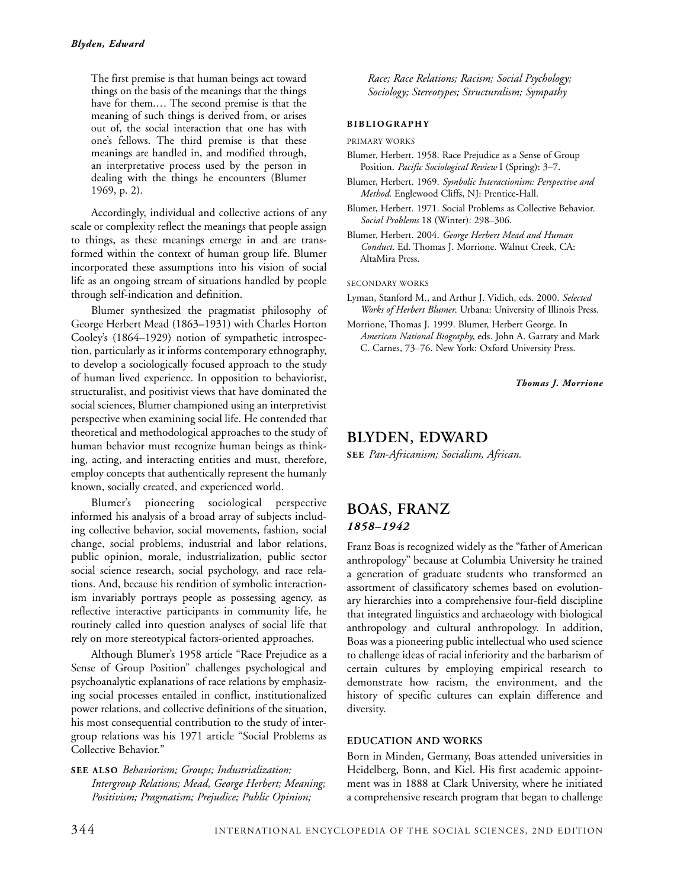The first premise is that human beings act toward things on the basis of the meanings that the things have for them.… The second premise is that the meaning of such things is derived from, or arises out of, the social interaction that one has with one's fellows. The third premise is that these meanings are handled in, and modified through, an interpretative process used by the person in dealing with the things he encounters (Blumer 1969, p. 2).

Accordingly, individual and collective actions of any scale or complexity reflect the meanings that people assign to things, as these meanings emerge in and are transformed within the context of human group life. Blumer incorporated these assumptions into his vision of social life as an ongoing stream of situations handled by people through self-indication and definition.

Blumer synthesized the pragmatist philosophy of George Herbert Mead (1863–1931) with Charles Horton Cooley's (1864–1929) notion of sympathetic introspection, particularly as it informs contemporary ethnography, to develop a sociologically focused approach to the study of human lived experience. In opposition to behaviorist, structuralist, and positivist views that have dominated the social sciences, Blumer championed using an interpretivist perspective when examining social life. He contended that theoretical and methodological approaches to the study of human behavior must recognize human beings as thinking, acting, and interacting entities and must, therefore, employ concepts that authentically represent the humanly known, socially created, and experienced world.

Blumer's pioneering sociological perspective informed his analysis of a broad array of subjects including collective behavior, social movements, fashion, social change, social problems, industrial and labor relations, public opinion, morale, industrialization, public sector social science research, social psychology, and race relations. And, because his rendition of symbolic interactionism invariably portrays people as possessing agency, as reflective interactive participants in community life, he routinely called into question analyses of social life that rely on more stereotypical factors-oriented approaches.

Although Blumer's 1958 article "Race Prejudice as a Sense of Group Position" challenges psychological and psychoanalytic explanations of race relations by emphasizing social processes entailed in conflict, institutionalized power relations, and collective definitions of the situation, his most consequential contribution to the study of intergroup relations was his 1971 article "Social Problems as Collective Behavior."

**SEE ALSO** *Behaviorism; Groups; Industrialization; Intergroup Relations; Mead, George Herbert; Meaning; Positivism; Pragmatism; Prejudice; Public Opinion;*

*Race; Race Relations; Racism; Social Psychology; Sociology; Stereotypes; Structuralism; Sympathy*

#### **BIBLIOGRAPHY**

PRIMARY WORKS

- Blumer, Herbert. 1958. Race Prejudice as a Sense of Group Position. *Pacific Sociological Review* I (Spring): 3–7.
- Blumer, Herbert. 1969. *Symbolic Interactionism: Perspective and Method*. Englewood Cliffs, NJ: Prentice-Hall.
- Blumer, Herbert. 1971. Social Problems as Collective Behavior. *Social Problems* 18 (Winter): 298–306.
- Blumer, Herbert. 2004. *George Herbert Mead and Human Conduct*. Ed. Thomas J. Morrione. Walnut Creek, CA: AltaMira Press.

SECONDARY WORKS

- Lyman, Stanford M., and Arthur J. Vidich, eds. 2000. *Selected Works of Herbert Blumer*. Urbana: University of Illinois Press.
- Morrione, Thomas J. 1999. Blumer, Herbert George. In *American National Biography*, eds. John A. Garraty and Mark C. Carnes, 73–76. New York: Oxford University Press.

*Thomas J. Morrione*

### **BLYDEN, EDWARD**

**SEE** *Pan-Africanism; Socialism, African.*

## **BOAS, FRANZ** *1858–1942*

Franz Boas is recognized widely as the "father of American anthropology" because at Columbia University he trained a generation of graduate students who transformed an assortment of classificatory schemes based on evolutionary hierarchies into a comprehensive four-field discipline that integrated linguistics and archaeology with biological anthropology and cultural anthropology. In addition, Boas was a pioneering public intellectual who used science to challenge ideas of racial inferiority and the barbarism of certain cultures by employing empirical research to demonstrate how racism, the environment, and the history of specific cultures can explain difference and diversity.

#### **EDUCATION AND WORKS**

Born in Minden, Germany, Boas attended universities in Heidelberg, Bonn, and Kiel. His first academic appointment was in 1888 at Clark University, where he initiated a comprehensive research program that began to challenge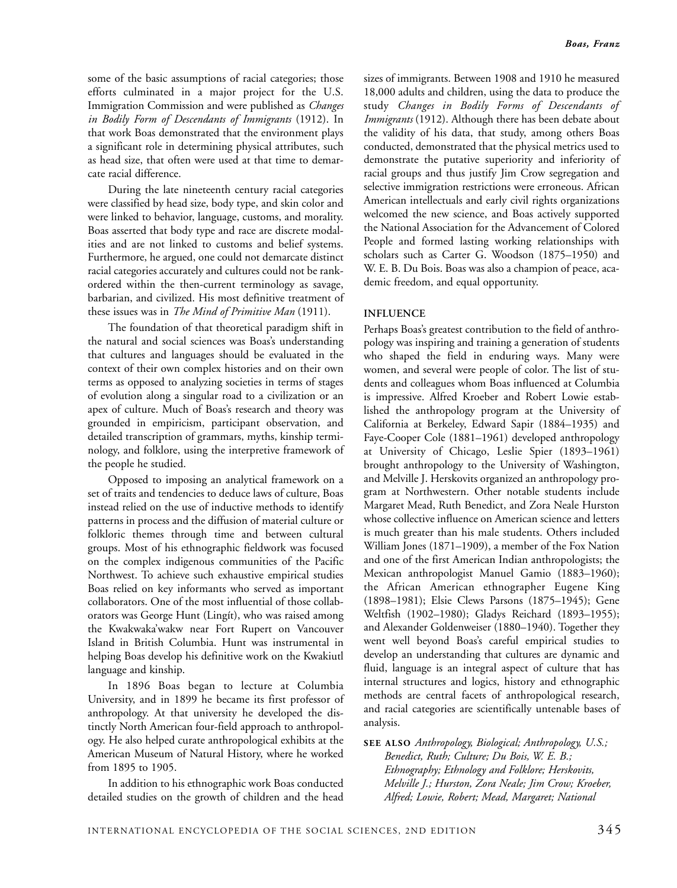some of the basic assumptions of racial categories; those efforts culminated in a major project for the U.S. Immigration Commission and were published as *Changes in Bodily Form of Descendants of Immigrants* (1912). In that work Boas demonstrated that the environment plays a significant role in determining physical attributes, such as head size, that often were used at that time to demarcate racial difference.

During the late nineteenth century racial categories were classified by head size, body type, and skin color and were linked to behavior, language, customs, and morality. Boas asserted that body type and race are discrete modalities and are not linked to customs and belief systems. Furthermore, he argued, one could not demarcate distinct racial categories accurately and cultures could not be rankordered within the then-current terminology as savage, barbarian, and civilized. His most definitive treatment of these issues was in *The Mind of Primitive Man* (1911).

The foundation of that theoretical paradigm shift in the natural and social sciences was Boas's understanding that cultures and languages should be evaluated in the context of their own complex histories and on their own terms as opposed to analyzing societies in terms of stages of evolution along a singular road to a civilization or an apex of culture. Much of Boas's research and theory was grounded in empiricism, participant observation, and detailed transcription of grammars, myths, kinship terminology, and folklore, using the interpretive framework of the people he studied.

Opposed to imposing an analytical framework on a set of traits and tendencies to deduce laws of culture, Boas instead relied on the use of inductive methods to identify patterns in process and the diffusion of material culture or folkloric themes through time and between cultural groups. Most of his ethnographic fieldwork was focused on the complex indigenous communities of the Pacific Northwest. To achieve such exhaustive empirical studies Boas relied on key informants who served as important collaborators. One of the most influential of those collaborators was George Hunt (Lingít), who was raised among the Kwakwaka'wakw near Fort Rupert on Vancouver Island in British Columbia. Hunt was instrumental in helping Boas develop his definitive work on the Kwakiutl language and kinship.

In 1896 Boas began to lecture at Columbia University, and in 1899 he became its first professor of anthropology. At that university he developed the distinctly North American four-field approach to anthropology. He also helped curate anthropological exhibits at the American Museum of Natural History, where he worked from 1895 to 1905.

In addition to his ethnographic work Boas conducted detailed studies on the growth of children and the head

sizes of immigrants. Between 1908 and 1910 he measured 18,000 adults and children, using the data to produce the study *Changes in Bodily Forms of Descendants of Immigrants* (1912). Although there has been debate about the validity of his data, that study, among others Boas conducted, demonstrated that the physical metrics used to demonstrate the putative superiority and inferiority of racial groups and thus justify Jim Crow segregation and selective immigration restrictions were erroneous. African American intellectuals and early civil rights organizations welcomed the new science, and Boas actively supported the National Association for the Advancement of Colored People and formed lasting working relationships with scholars such as Carter G. Woodson (1875–1950) and W. E. B. Du Bois. Boas was also a champion of peace, academic freedom, and equal opportunity.

#### **INFLUENCE**

Perhaps Boas's greatest contribution to the field of anthropology was inspiring and training a generation of students who shaped the field in enduring ways. Many were women, and several were people of color. The list of students and colleagues whom Boas influenced at Columbia is impressive. Alfred Kroeber and Robert Lowie established the anthropology program at the University of California at Berkeley, Edward Sapir (1884–1935) and Faye-Cooper Cole (1881–1961) developed anthropology at University of Chicago, Leslie Spier (1893–1961) brought anthropology to the University of Washington, and Melville J. Herskovits organized an anthropology program at Northwestern. Other notable students include Margaret Mead, Ruth Benedict, and Zora Neale Hurston whose collective influence on American science and letters is much greater than his male students. Others included William Jones (1871–1909), a member of the Fox Nation and one of the first American Indian anthropologists; the Mexican anthropologist Manuel Gamio (1883–1960); the African American ethnographer Eugene King (1898–1981); Elsie Clews Parsons (1875–1945); Gene Weltfish (1902–1980); Gladys Reichard (1893–1955); and Alexander Goldenweiser (1880–1940). Together they went well beyond Boas's careful empirical studies to develop an understanding that cultures are dynamic and fluid, language is an integral aspect of culture that has internal structures and logics, history and ethnographic methods are central facets of anthropological research, and racial categories are scientifically untenable bases of analysis.

**SEE ALSO** *Anthropology, Biological; Anthropology, U.S.; Benedict, Ruth; Culture; Du Bois, W. E. B.; Ethnography; Ethnology and Folklore; Herskovits, Melville J.; Hurston, Zora Neale; Jim Crow; Kroeber, Alfred; Lowie, Robert; Mead, Margaret; National*